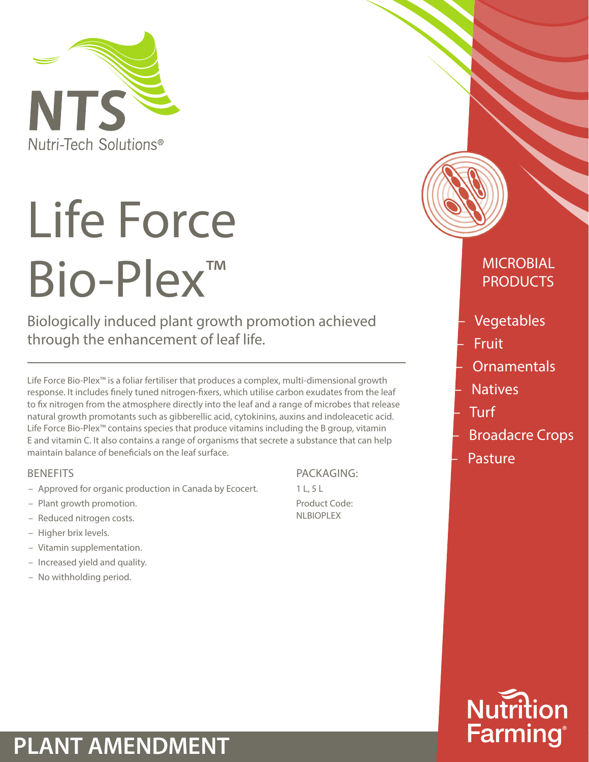

# Life Force Bio-Plex™

Biologically induced plant growth promotion achieved through the enhancement of leaf life.

Life Force Bio-Plex™ is a foliar fertiliser that produces a complex, multi-dimensional growth response. It includes finely tuned nitrogen-fixers, which utilise carbon exudates from the leaf to fix nitrogen from the atmosphere directly into the leaf and a range of microbes that release natural growth promotants such as gibberellic acid, cytokinins, auxins and indoleacetic acid. Life Force Bio-Plex™ contains species that produce vitamins including the B group, vitamin E and vitamin C. It also contains a range of organisms that secrete a substance that can help maintain balance of beneficials on the leaf surface.

#### **BENEFITS**

- Approved for organic production in Canada by Ecocert.
- Plant growth promotion.
- Reduced nitrogen costs.
- Higher brix levels.
- Vitamin supplementation.
- Increased yield and quality.
- No withholding period.

PACKAGING:

1 L, 5 L Product Code: NLBIOPLEX



### **MICROBIAL** PRODUCTS

- Vegetables
- Fruit
- **Ornamentals**
- **Natives**
- Turf
- Broadacre Crops
- Pasture



## **PLANT AMENDMENT**